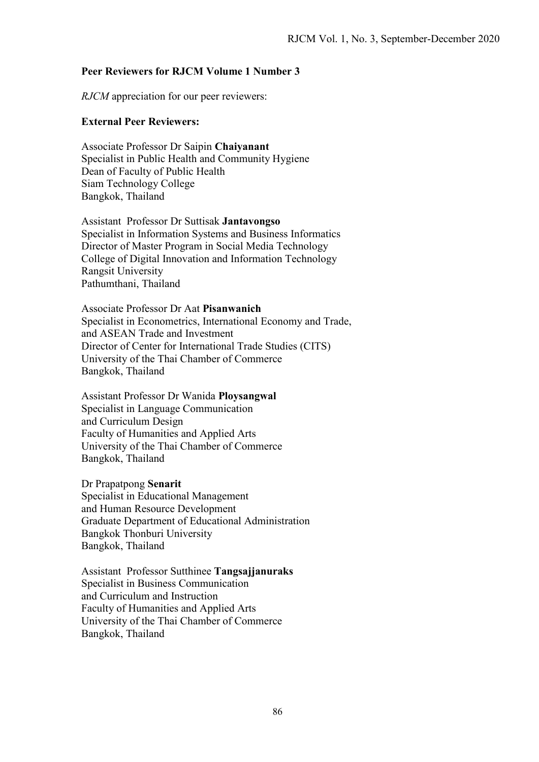## **Peer Reviewers for RJCM Volume 1 Number 3**

*RJCM* appreciation for our peer reviewers:

## **External Peer Reviewers:**

Associate Professor Dr Saipin **Chaiyanant** Specialist in Public Health and Community Hygiene Dean of Faculty of Public Health Siam Technology College Bangkok, Thailand

Assistant Professor Dr Suttisak **Jantavongso** Specialist in Information Systems and Business Informatics Director of Master Program in Social Media Technology College of Digital Innovation and Information Technology Rangsit University Pathumthani, Thailand

Associate Professor Dr Aat **Pisanwanich**  Specialist in Econometrics, International Economy and Trade, and ASEAN Trade and Investment Director of Center for International Trade Studies (CITS) University of the Thai Chamber of Commerce Bangkok, Thailand

Assistant Professor Dr Wanida **Ploysangwal** Specialist in Language Communication and Curriculum Design Faculty of Humanities and Applied Arts University of the Thai Chamber of Commerce Bangkok, Thailand

Dr Prapatpong **Senarit** Specialist in Educational Management and Human Resource Development Graduate Department of Educational Administration Bangkok Thonburi University Bangkok, Thailand

Assistant Professor Sutthinee **Tangsajjanuraks**  Specialist in Business Communication and Curriculum and Instruction Faculty of Humanities and Applied Arts University of the Thai Chamber of Commerce Bangkok, Thailand